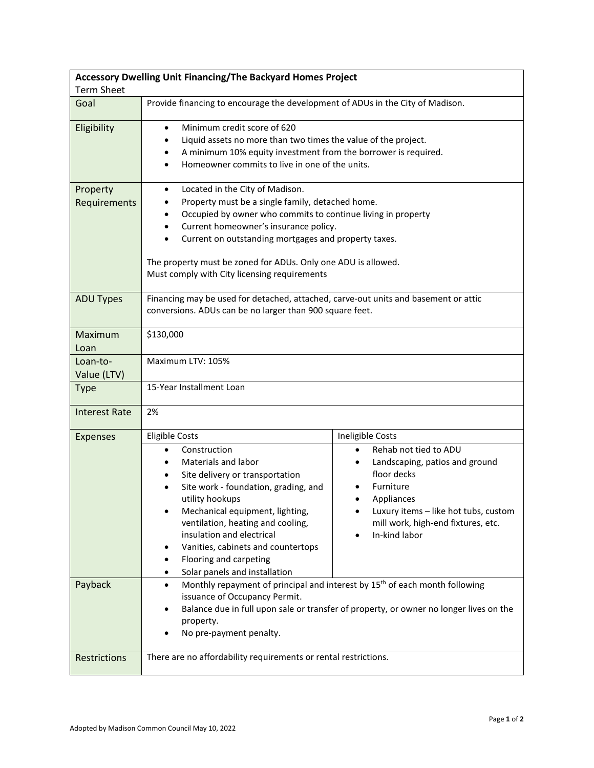| Accessory Dwelling Unit Financing/The Backyard Homes Project<br><b>Term Sheet</b> |                                                                                                                                                                                                                                                                                                                                                                                                                                                                      |                                                                                                                                                                                                                                                                                                                                                                                                                                     |  |
|-----------------------------------------------------------------------------------|----------------------------------------------------------------------------------------------------------------------------------------------------------------------------------------------------------------------------------------------------------------------------------------------------------------------------------------------------------------------------------------------------------------------------------------------------------------------|-------------------------------------------------------------------------------------------------------------------------------------------------------------------------------------------------------------------------------------------------------------------------------------------------------------------------------------------------------------------------------------------------------------------------------------|--|
| Goal                                                                              | Provide financing to encourage the development of ADUs in the City of Madison.                                                                                                                                                                                                                                                                                                                                                                                       |                                                                                                                                                                                                                                                                                                                                                                                                                                     |  |
| Eligibility                                                                       | Minimum credit score of 620<br>$\bullet$<br>Liquid assets no more than two times the value of the project.<br>٠<br>A minimum 10% equity investment from the borrower is required.<br>Homeowner commits to live in one of the units.                                                                                                                                                                                                                                  |                                                                                                                                                                                                                                                                                                                                                                                                                                     |  |
| Property<br>Requirements                                                          | Located in the City of Madison.<br>$\bullet$<br>Property must be a single family, detached home.<br>٠<br>Occupied by owner who commits to continue living in property<br>Current homeowner's insurance policy.<br>$\bullet$<br>Current on outstanding mortgages and property taxes.<br>The property must be zoned for ADUs. Only one ADU is allowed.<br>Must comply with City licensing requirements                                                                 |                                                                                                                                                                                                                                                                                                                                                                                                                                     |  |
| <b>ADU Types</b>                                                                  | Financing may be used for detached, attached, carve-out units and basement or attic<br>conversions. ADUs can be no larger than 900 square feet.                                                                                                                                                                                                                                                                                                                      |                                                                                                                                                                                                                                                                                                                                                                                                                                     |  |
| Maximum<br>Loan                                                                   | \$130,000                                                                                                                                                                                                                                                                                                                                                                                                                                                            |                                                                                                                                                                                                                                                                                                                                                                                                                                     |  |
| Loan-to-<br>Value (LTV)                                                           | Maximum LTV: 105%                                                                                                                                                                                                                                                                                                                                                                                                                                                    |                                                                                                                                                                                                                                                                                                                                                                                                                                     |  |
| <b>Type</b>                                                                       | 15-Year Installment Loan                                                                                                                                                                                                                                                                                                                                                                                                                                             |                                                                                                                                                                                                                                                                                                                                                                                                                                     |  |
| <b>Interest Rate</b>                                                              | 2%                                                                                                                                                                                                                                                                                                                                                                                                                                                                   |                                                                                                                                                                                                                                                                                                                                                                                                                                     |  |
| <b>Expenses</b><br>Payback                                                        | <b>Eligible Costs</b><br>Construction<br>$\bullet$<br>Materials and labor<br>$\bullet$<br>Site delivery or transportation<br>Site work - foundation, grading, and<br>utility hookups<br>Mechanical equipment, lighting,<br>ventilation, heating and cooling,<br>insulation and electrical<br>Vanities, cabinets and countertops<br>٠<br>Flooring and carpeting<br>٠<br>Solar panels and installation<br>$\bullet$<br>issuance of Occupancy Permit.<br>٠<br>property. | Ineligible Costs<br>Rehab not tied to ADU<br>$\bullet$<br>Landscaping, patios and ground<br>$\bullet$<br>floor decks<br>Furniture<br>Appliances<br>Luxury items - like hot tubs, custom<br>mill work, high-end fixtures, etc.<br>In-kind labor<br>Monthly repayment of principal and interest by 15 <sup>th</sup> of each month following<br>Balance due in full upon sale or transfer of property, or owner no longer lives on the |  |
| Restrictions                                                                      | No pre-payment penalty.<br>There are no affordability requirements or rental restrictions.                                                                                                                                                                                                                                                                                                                                                                           |                                                                                                                                                                                                                                                                                                                                                                                                                                     |  |
|                                                                                   |                                                                                                                                                                                                                                                                                                                                                                                                                                                                      |                                                                                                                                                                                                                                                                                                                                                                                                                                     |  |